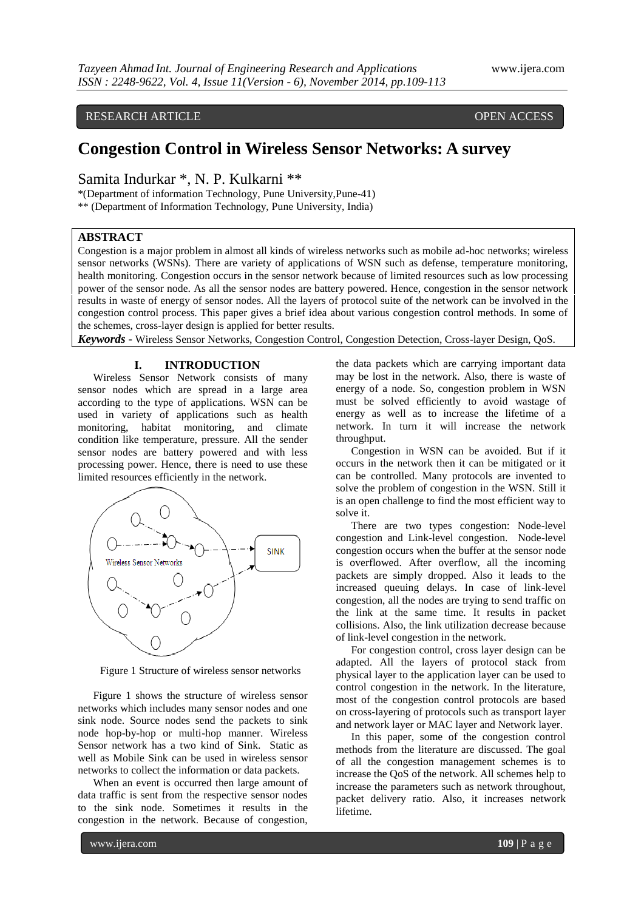RESEARCH ARTICLE **CONSERVERS** OPEN ACCESS

# **Congestion Control in Wireless Sensor Networks: A survey**

Samita Indurkar \*, N. P. Kulkarni \*\*

\*(Department of information Technology, Pune University,Pune-41) \*\* (Department of Information Technology, Pune University, India)

## **ABSTRACT**

Congestion is a major problem in almost all kinds of wireless networks such as mobile ad-hoc networks; wireless sensor networks (WSNs). There are variety of applications of WSN such as defense, temperature monitoring, health monitoring. Congestion occurs in the sensor network because of limited resources such as low processing power of the sensor node. As all the sensor nodes are battery powered. Hence, congestion in the sensor network results in waste of energy of sensor nodes. All the layers of protocol suite of the network can be involved in the congestion control process. This paper gives a brief idea about various congestion control methods. In some of the schemes, cross-layer design is applied for better results.

*Keywords* **-** Wireless Sensor Networks, Congestion Control, Congestion Detection, Cross-layer Design, QoS.

# **I. INTRODUCTION**

Wireless Sensor Network consists of many sensor nodes which are spread in a large area according to the type of applications. WSN can be used in variety of applications such as health monitoring, habitat monitoring, and climate condition like temperature, pressure. All the sender sensor nodes are battery powered and with less processing power. Hence, there is need to use these limited resources efficiently in the network.



Figure 1 Structure of wireless sensor networks

Figure 1 shows the structure of wireless sensor networks which includes many sensor nodes and one sink node. Source nodes send the packets to sink node hop-by-hop or multi-hop manner. Wireless Sensor network has a two kind of Sink. Static as well as Mobile Sink can be used in wireless sensor networks to collect the information or data packets.

When an event is occurred then large amount of data traffic is sent from the respective sensor nodes to the sink node. Sometimes it results in the congestion in the network. Because of congestion,

the data packets which are carrying important data may be lost in the network. Also, there is waste of energy of a node. So, congestion problem in WSN must be solved efficiently to avoid wastage of energy as well as to increase the lifetime of a network. In turn it will increase the network throughput.

Congestion in WSN can be avoided. But if it occurs in the network then it can be mitigated or it can be controlled. Many protocols are invented to solve the problem of congestion in the WSN. Still it is an open challenge to find the most efficient way to solve it.

There are two types congestion: Node-level congestion and Link-level congestion. Node-level congestion occurs when the buffer at the sensor node is overflowed. After overflow, all the incoming packets are simply dropped. Also it leads to the increased queuing delays. In case of link-level congestion, all the nodes are trying to send traffic on the link at the same time. It results in packet collisions. Also, the link utilization decrease because of link-level congestion in the network.

For congestion control, cross layer design can be adapted. All the layers of protocol stack from physical layer to the application layer can be used to control congestion in the network. In the literature, most of the congestion control protocols are based on cross-layering of protocols such as transport layer and network layer or MAC layer and Network layer.

In this paper, some of the congestion control methods from the literature are discussed. The goal of all the congestion management schemes is to increase the QoS of the network. All schemes help to increase the parameters such as network throughout, packet delivery ratio. Also, it increases network lifetime.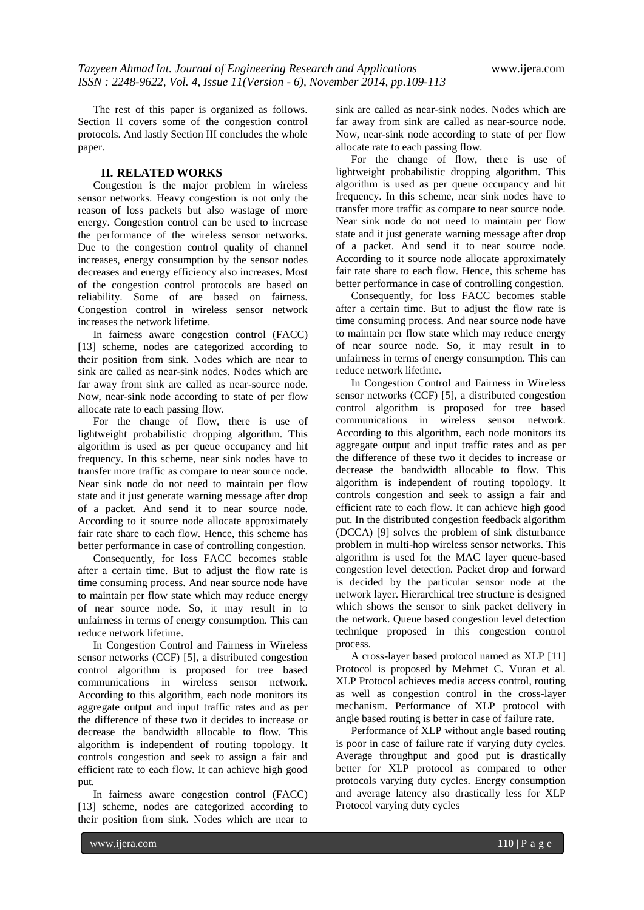The rest of this paper is organized as follows. Section II covers some of the congestion control protocols. And lastly Section III concludes the whole paper.

#### **II. RELATED WORKS**

Congestion is the major problem in wireless sensor networks. Heavy congestion is not only the reason of loss packets but also wastage of more energy. Congestion control can be used to increase the performance of the wireless sensor networks. Due to the congestion control quality of channel increases, energy consumption by the sensor nodes decreases and energy efficiency also increases. Most of the congestion control protocols are based on reliability. Some of are based on fairness. Congestion control in wireless sensor network increases the network lifetime.

In fairness aware congestion control (FACC) [13] scheme, nodes are categorized according to their position from sink. Nodes which are near to sink are called as near-sink nodes. Nodes which are far away from sink are called as near-source node. Now, near-sink node according to state of per flow allocate rate to each passing flow.

For the change of flow, there is use of lightweight probabilistic dropping algorithm. This algorithm is used as per queue occupancy and hit frequency. In this scheme, near sink nodes have to transfer more traffic as compare to near source node. Near sink node do not need to maintain per flow state and it just generate warning message after drop of a packet. And send it to near source node. According to it source node allocate approximately fair rate share to each flow. Hence, this scheme has better performance in case of controlling congestion.

Consequently, for loss FACC becomes stable after a certain time. But to adjust the flow rate is time consuming process. And near source node have to maintain per flow state which may reduce energy of near source node. So, it may result in to unfairness in terms of energy consumption. This can reduce network lifetime.

In Congestion Control and Fairness in Wireless sensor networks (CCF) [5], a distributed congestion control algorithm is proposed for tree based communications in wireless sensor network. According to this algorithm, each node monitors its aggregate output and input traffic rates and as per the difference of these two it decides to increase or decrease the bandwidth allocable to flow. This algorithm is independent of routing topology. It controls congestion and seek to assign a fair and efficient rate to each flow. It can achieve high good put.

In fairness aware congestion control (FACC) [13] scheme, nodes are categorized according to their position from sink. Nodes which are near to

sink are called as near-sink nodes. Nodes which are far away from sink are called as near-source node. Now, near-sink node according to state of per flow allocate rate to each passing flow.

For the change of flow, there is use of lightweight probabilistic dropping algorithm. This algorithm is used as per queue occupancy and hit frequency. In this scheme, near sink nodes have to transfer more traffic as compare to near source node. Near sink node do not need to maintain per flow state and it just generate warning message after drop of a packet. And send it to near source node. According to it source node allocate approximately fair rate share to each flow. Hence, this scheme has better performance in case of controlling congestion.

Consequently, for loss FACC becomes stable after a certain time. But to adjust the flow rate is time consuming process. And near source node have to maintain per flow state which may reduce energy of near source node. So, it may result in to unfairness in terms of energy consumption. This can reduce network lifetime.

In Congestion Control and Fairness in Wireless sensor networks (CCF) [5], a distributed congestion control algorithm is proposed for tree based communications in wireless sensor network. According to this algorithm, each node monitors its aggregate output and input traffic rates and as per the difference of these two it decides to increase or decrease the bandwidth allocable to flow. This algorithm is independent of routing topology. It controls congestion and seek to assign a fair and efficient rate to each flow. It can achieve high good put. In the distributed congestion feedback algorithm (DCCA) [9] solves the problem of sink disturbance problem in multi-hop wireless sensor networks. This algorithm is used for the MAC layer queue-based congestion level detection. Packet drop and forward is decided by the particular sensor node at the network layer. Hierarchical tree structure is designed which shows the sensor to sink packet delivery in the network. Queue based congestion level detection technique proposed in this congestion control process.

A cross-layer based protocol named as XLP [11] Protocol is proposed by Mehmet C. Vuran et al. XLP Protocol achieves media access control, routing as well as congestion control in the cross-layer mechanism. Performance of XLP protocol with angle based routing is better in case of failure rate.

Performance of XLP without angle based routing is poor in case of failure rate if varying duty cycles. Average throughput and good put is drastically better for XLP protocol as compared to other protocols varying duty cycles. Energy consumption and average latency also drastically less for XLP Protocol varying duty cycles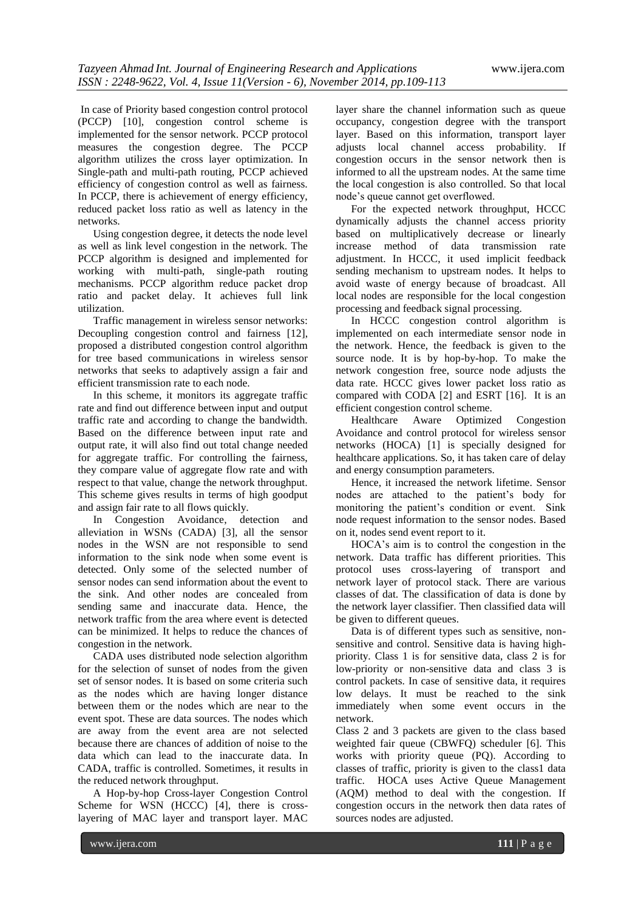In case of Priority based congestion control protocol (PCCP) [10], congestion control scheme is implemented for the sensor network. PCCP protocol measures the congestion degree. The PCCP algorithm utilizes the cross layer optimization. In Single-path and multi-path routing, PCCP achieved efficiency of congestion control as well as fairness. In PCCP, there is achievement of energy efficiency, reduced packet loss ratio as well as latency in the networks.

Using congestion degree, it detects the node level as well as link level congestion in the network. The PCCP algorithm is designed and implemented for working with multi-path, single-path routing mechanisms. PCCP algorithm reduce packet drop ratio and packet delay. It achieves full link utilization.

Traffic management in wireless sensor networks: Decoupling congestion control and fairness [12], proposed a distributed congestion control algorithm for tree based communications in wireless sensor networks that seeks to adaptively assign a fair and efficient transmission rate to each node.

In this scheme, it monitors its aggregate traffic rate and find out difference between input and output traffic rate and according to change the bandwidth. Based on the difference between input rate and output rate, it will also find out total change needed for aggregate traffic. For controlling the fairness, they compare value of aggregate flow rate and with respect to that value, change the network throughput. This scheme gives results in terms of high goodput and assign fair rate to all flows quickly.

In Congestion Avoidance, detection and alleviation in WSNs (CADA) [3], all the sensor nodes in the WSN are not responsible to send information to the sink node when some event is detected. Only some of the selected number of sensor nodes can send information about the event to the sink. And other nodes are concealed from sending same and inaccurate data. Hence, the network traffic from the area where event is detected can be minimized. It helps to reduce the chances of congestion in the network.

CADA uses distributed node selection algorithm for the selection of sunset of nodes from the given set of sensor nodes. It is based on some criteria such as the nodes which are having longer distance between them or the nodes which are near to the event spot. These are data sources. The nodes which are away from the event area are not selected because there are chances of addition of noise to the data which can lead to the inaccurate data. In CADA, traffic is controlled. Sometimes, it results in the reduced network throughput.

A Hop-by-hop Cross-layer Congestion Control Scheme for WSN (HCCC) [4], there is crosslayering of MAC layer and transport layer. MAC

layer share the channel information such as queue occupancy, congestion degree with the transport layer. Based on this information, transport layer adjusts local channel access probability. If congestion occurs in the sensor network then is informed to all the upstream nodes. At the same time the local congestion is also controlled. So that local node's queue cannot get overflowed.

For the expected network throughput, HCCC dynamically adjusts the channel access priority based on multiplicatively decrease or linearly increase method of data transmission rate adjustment. In HCCC, it used implicit feedback sending mechanism to upstream nodes. It helps to avoid waste of energy because of broadcast. All local nodes are responsible for the local congestion processing and feedback signal processing.

In HCCC congestion control algorithm is implemented on each intermediate sensor node in the network. Hence, the feedback is given to the source node. It is by hop-by-hop. To make the network congestion free, source node adjusts the data rate. HCCC gives lower packet loss ratio as compared with CODA [2] and ESRT [16]. It is an

efficient congestion control scheme.<br>Healthcare Aware Optimized Congestion Avoidance and control protocol for wireless sensor networks (HOCA) [1] is specially designed for healthcare applications. So, it has taken care of delay and energy consumption parameters.

Hence, it increased the network lifetime. Sensor nodes are attached to the patient's body for monitoring the patient's condition or event. Sink node request information to the sensor nodes. Based on it, nodes send event report to it.

HOCA's aim is to control the congestion in the network. Data traffic has different priorities. This protocol uses cross-layering of transport and network layer of protocol stack. There are various classes of dat. The classification of data is done by the network layer classifier. Then classified data will be given to different queues.

Data is of different types such as sensitive, nonsensitive and control. Sensitive data is having highpriority. Class 1 is for sensitive data, class 2 is for low-priority or non-sensitive data and class 3 is control packets. In case of sensitive data, it requires low delays. It must be reached to the sink immediately when some event occurs in the network.

Class 2 and 3 packets are given to the class based weighted fair queue (CBWFQ) scheduler [6]. This works with priority queue (PQ). According to classes of traffic, priority is given to the class1 data traffic. HOCA uses Active Queue Management (AQM) method to deal with the congestion. If congestion occurs in the network then data rates of sources nodes are adjusted.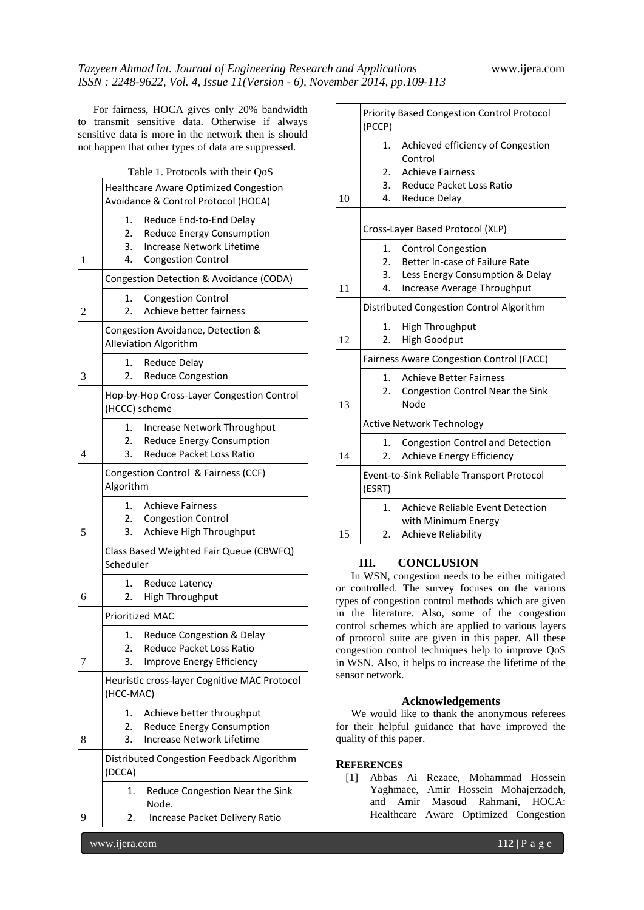For fairness, HOCA gives only 20% bandwidth to transmit sensitive data. Otherwise if always sensitive data is more in the network then is should not happen that other types of data are suppressed.

|  | Table 1. Protocols with their QoS |  |  |
|--|-----------------------------------|--|--|
|  |                                   |  |  |

|   | 1. I TOROGOIS WITH THEIR QUD                                                                                                                  |  |  |  |
|---|-----------------------------------------------------------------------------------------------------------------------------------------------|--|--|--|
|   | <b>Healthcare Aware Optimized Congestion</b><br>Avoidance & Control Protocol (HOCA)                                                           |  |  |  |
| 1 | 1.<br>Reduce End-to-End Delay<br>2.<br><b>Reduce Energy Consumption</b><br>3.<br>Increase Network Lifetime<br>4.<br><b>Congestion Control</b> |  |  |  |
|   | Congestion Detection & Avoidance (CODA)                                                                                                       |  |  |  |
| 2 | <b>Congestion Control</b><br>1.<br>Achieve better fairness<br>2.                                                                              |  |  |  |
|   | Congestion Avoidance, Detection &<br>Alleviation Algorithm                                                                                    |  |  |  |
| 3 | Reduce Delay<br>1.<br><b>Reduce Congestion</b><br>2.                                                                                          |  |  |  |
|   | Hop-by-Hop Cross-Layer Congestion Control<br>(HCCC) scheme                                                                                    |  |  |  |
| 4 | Increase Network Throughput<br>1.<br>2.<br><b>Reduce Energy Consumption</b><br><b>Reduce Packet Loss Ratio</b><br>3.                          |  |  |  |
|   | Congestion Control & Fairness (CCF)<br>Algorithm                                                                                              |  |  |  |
| 5 | <b>Achieve Fairness</b><br>1.<br>2.<br><b>Congestion Control</b><br>Achieve High Throughput<br>3.                                             |  |  |  |
|   | Class Based Weighted Fair Queue (CBWFQ)<br>Scheduler                                                                                          |  |  |  |
| 6 | Reduce Latency<br>1.<br><b>High Throughput</b><br>2.                                                                                          |  |  |  |
|   | <b>Prioritized MAC</b>                                                                                                                        |  |  |  |
| 7 | Reduce Congestion & Delay<br>1.<br><b>Reduce Packet Loss Ratio</b><br>2.<br>3.<br>Improve Energy Efficiency                                   |  |  |  |
|   | Heuristic cross-layer Cognitive MAC Protocol<br>(HCC-MAC)                                                                                     |  |  |  |
| 8 | Achieve better throughput<br>1.<br>2.<br><b>Reduce Energy Consumption</b><br><b>Increase Network Lifetime</b><br>3.                           |  |  |  |
|   | Distributed Congestion Feedback Algorithm<br>(DCCA)                                                                                           |  |  |  |
|   | Reduce Congestion Near the Sink<br>1.<br>Node.                                                                                                |  |  |  |
| 9 | Increase Packet Delivery Ratio<br>2.                                                                                                          |  |  |  |

|    | Priority Based Congestion Control Protocol<br>(PCCP) |  |  |  |
|----|------------------------------------------------------|--|--|--|
|    | Achieved efficiency of Congestion<br>1.<br>Control   |  |  |  |
|    | <b>Achieve Fairness</b><br>2.                        |  |  |  |
|    | 3.<br>Reduce Packet Loss Ratio                       |  |  |  |
| 10 | 4.<br><b>Reduce Delay</b>                            |  |  |  |
|    | Cross-Layer Based Protocol (XLP)                     |  |  |  |
|    | 1.<br><b>Control Congestion</b>                      |  |  |  |
|    | Better In-case of Failure Rate<br>2.                 |  |  |  |
|    | 3.<br>Less Energy Consumption & Delay                |  |  |  |
| 11 | Increase Average Throughput<br>4.                    |  |  |  |
|    | Distributed Congestion Control Algorithm             |  |  |  |
|    | <b>High Throughput</b><br>1.                         |  |  |  |
| 12 | 2.<br><b>High Goodput</b>                            |  |  |  |
|    | <b>Fairness Aware Congestion Control (FACC)</b>      |  |  |  |
|    | <b>Achieve Better Fairness</b><br>1.                 |  |  |  |
|    | 2.<br><b>Congestion Control Near the Sink</b>        |  |  |  |
| 13 | Node                                                 |  |  |  |
|    | <b>Active Network Technology</b>                     |  |  |  |
|    | <b>Congestion Control and Detection</b><br>1.        |  |  |  |
| 14 | 2.<br>Achieve Energy Efficiency                      |  |  |  |
|    | Event-to-Sink Reliable Transport Protocol<br>(ESRT)  |  |  |  |
|    | Achieve Reliable Event Detection<br>1.               |  |  |  |
|    | with Minimum Energy                                  |  |  |  |
| 15 | <b>Achieve Reliability</b><br>2.                     |  |  |  |

## **III. CONCLUSION**

In WSN, congestion needs to be either mitigated or controlled. The survey focuses on the various types of congestion control methods which are given in the literature. Also, some of the congestion control schemes which are applied to various layers of protocol suite are given in this paper. All these congestion control techniques help to improve QoS in WSN. Also, it helps to increase the lifetime of the sensor network.

#### **Acknowledgements**

We would like to thank the anonymous referees for their helpful guidance that have improved the quality of this paper.

#### **REFERENCES**

[1] Abbas Ai Rezaee, Mohammad Hossein Yaghmaee, Amir Hossein Mohajerzadeh, and Amir Masoud Rahmani, HOCA: Healthcare Aware Optimized Congestion